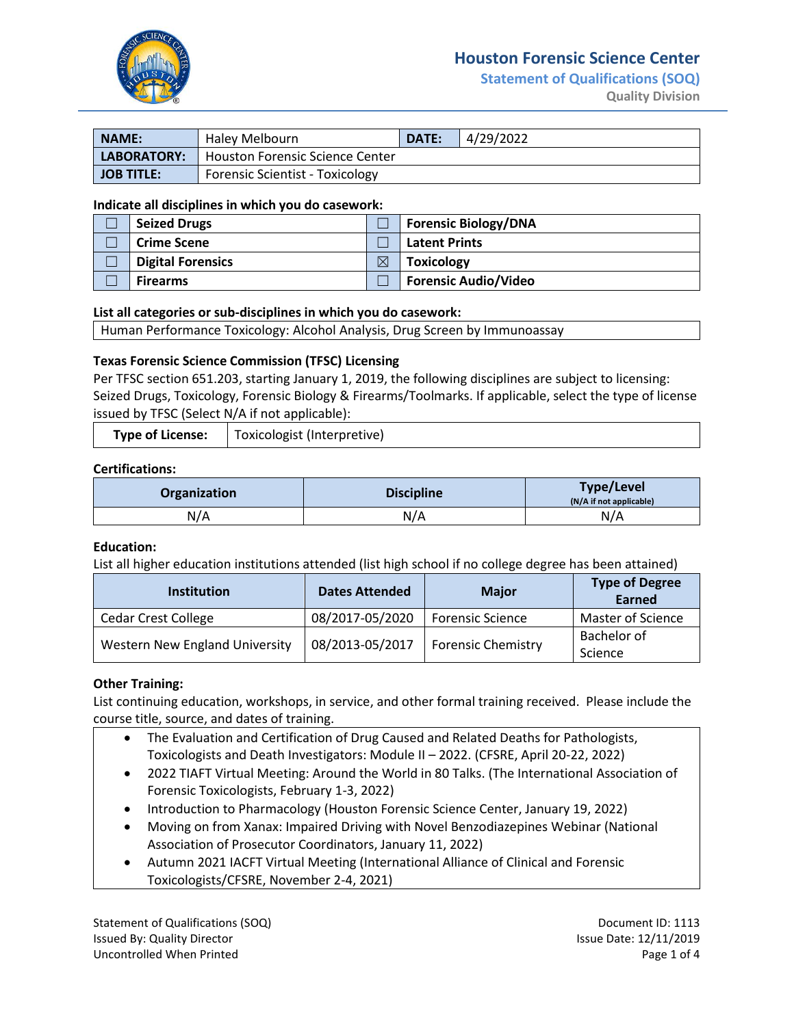

# **Houston Forensic Science Center**

**Statement of Qualifications (SOQ) Quality Division** 

| <b>NAME:</b>        | Haley Melbourn                         | <b>DATE:</b> | 4/29/2022 |
|---------------------|----------------------------------------|--------------|-----------|
| LABORATORY:         | <b>Houston Forensic Science Center</b> |              |           |
| <b>I JOB TITLE:</b> | <b>Forensic Scientist - Toxicology</b> |              |           |

#### **Indicate all disciplines in which you do casework:**

| <b>Seized Drugs</b>      |   | <b>Forensic Biology/DNA</b> |
|--------------------------|---|-----------------------------|
| <b>Crime Scene</b>       |   | <b>Latent Prints</b>        |
| <b>Digital Forensics</b> | ⊠ | <b>Toxicology</b>           |
| <b>Firearms</b>          |   | <b>Forensic Audio/Video</b> |

### **List all categories or sub-disciplines in which you do casework:**

Human Performance Toxicology: Alcohol Analysis, Drug Screen by Immunoassay

### **Texas Forensic Science Commission (TFSC) Licensing**

Per TFSC section 651.203, starting January 1, 2019, the following disciplines are subject to licensing: Seized Drugs, Toxicology, Forensic Biology & Firearms/Toolmarks. If applicable, select the type of license issued by TFSC (Select N/A if not applicable):

| <b>Type of License:</b> | <sup>1</sup> Toxicologist (Interpretive) |
|-------------------------|------------------------------------------|
|-------------------------|------------------------------------------|

### **Certifications:**

| Organization | <b>Discipline</b> | <b>Type/Level</b><br>(N/A if not applicable) |
|--------------|-------------------|----------------------------------------------|
| N/A          | N/A               | N/A                                          |

#### **Education:**

List all higher education institutions attended (list high school if no college degree has been attained)

| <b>Institution</b>                    | <b>Dates Attended</b> | <b>Major</b>              | <b>Type of Degree</b><br>Earned |
|---------------------------------------|-----------------------|---------------------------|---------------------------------|
| <b>Cedar Crest College</b>            | 08/2017-05/2020       | <b>Forensic Science</b>   | Master of Science               |
| <b>Western New England University</b> | 08/2013-05/2017       | <b>Forensic Chemistry</b> | Bachelor of<br>Science          |

### **Other Training:**

List continuing education, workshops, in service, and other formal training received. Please include the course title, source, and dates of training.

- The Evaluation and Certification of Drug Caused and Related Deaths for Pathologists, Toxicologists and Death Investigators: Module II – 2022. (CFSRE, April 20-22, 2022)
- 2022 TIAFT Virtual Meeting: Around the World in 80 Talks. (The International Association of Forensic Toxicologists, February 1-3, 2022)
- Introduction to Pharmacology (Houston Forensic Science Center, January 19, 2022)
- Moving on from Xanax: Impaired Driving with Novel Benzodiazepines Webinar (National Association of Prosecutor Coordinators, January 11, 2022)
- Autumn 2021 IACFT Virtual Meeting (International Alliance of Clinical and Forensic Toxicologists/CFSRE, November 2-4, 2021)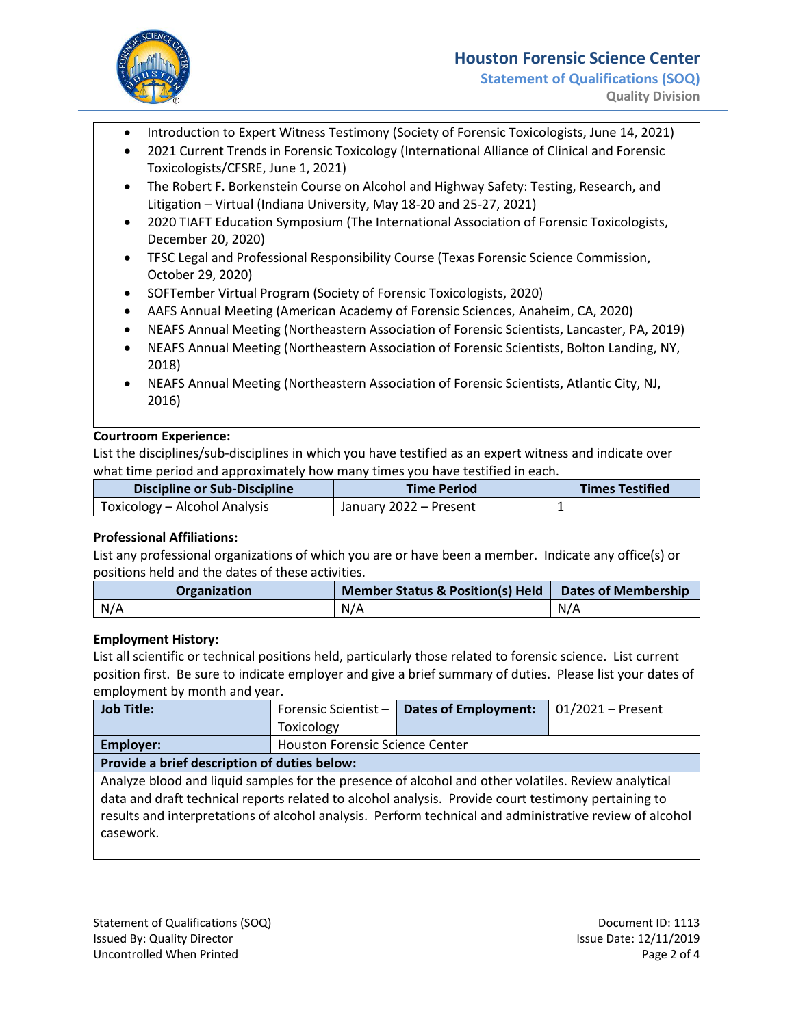

# **Houston Forensic Science Center**

- Introduction to Expert Witness Testimony (Society of Forensic Toxicologists, June 14, 2021)
- 2021 Current Trends in Forensic Toxicology (International Alliance of Clinical and Forensic Toxicologists/CFSRE, June 1, 2021)
- The Robert F. Borkenstein Course on Alcohol and Highway Safety: Testing, Research, and Litigation – Virtual (Indiana University, May 18-20 and 25-27, 2021)
- 2020 TIAFT Education Symposium (The International Association of Forensic Toxicologists, December 20, 2020)
- TFSC Legal and Professional Responsibility Course (Texas Forensic Science Commission, October 29, 2020)
- SOFTember Virtual Program (Society of Forensic Toxicologists, 2020)
- AAFS Annual Meeting (American Academy of Forensic Sciences, Anaheim, CA, 2020)
- NEAFS Annual Meeting (Northeastern Association of Forensic Scientists, Lancaster, PA, 2019)
- NEAFS Annual Meeting (Northeastern Association of Forensic Scientists, Bolton Landing, NY, 2018)
- NEAFS Annual Meeting (Northeastern Association of Forensic Scientists, Atlantic City, NJ, 2016)

## **Courtroom Experience:**

List the disciplines/sub-disciplines in which you have testified as an expert witness and indicate over what time period and approximately how many times you have testified in each.

| <b>Discipline or Sub-Discipline</b> | <b>Time Period</b>     | <b>Times Testified</b> |
|-------------------------------------|------------------------|------------------------|
| Toxicology – Alcohol Analysis       | January 2022 – Present |                        |

## **Professional Affiliations:**

List any professional organizations of which you are or have been a member. Indicate any office(s) or positions held and the dates of these activities.

| Organization | <b>Member Status &amp; Position(s) Held</b> | <b>Dates of Membership</b> |
|--------------|---------------------------------------------|----------------------------|
| N/A          | N/A                                         | N/A                        |

### **Employment History:**

List all scientific or technical positions held, particularly those related to forensic science. List current position first. Be sure to indicate employer and give a brief summary of duties. Please list your dates of employment by month and year.

| <b>Job Title:</b>                                                                                       | Forensic Scientist-                    | <b>Dates of Employment:</b> | $01/2021$ – Present |
|---------------------------------------------------------------------------------------------------------|----------------------------------------|-----------------------------|---------------------|
|                                                                                                         | Toxicology                             |                             |                     |
| Employer:                                                                                               | <b>Houston Forensic Science Center</b> |                             |                     |
| Provide a brief description of duties below:                                                            |                                        |                             |                     |
| Analyze blood and liquid samples for the presence of alcohol and other volatiles. Review analytical     |                                        |                             |                     |
| data and draft technical reports related to alcohol analysis. Provide court testimony pertaining to     |                                        |                             |                     |
| results and interpretations of alcohol analysis. Perform technical and administrative review of alcohol |                                        |                             |                     |
| casework.                                                                                               |                                        |                             |                     |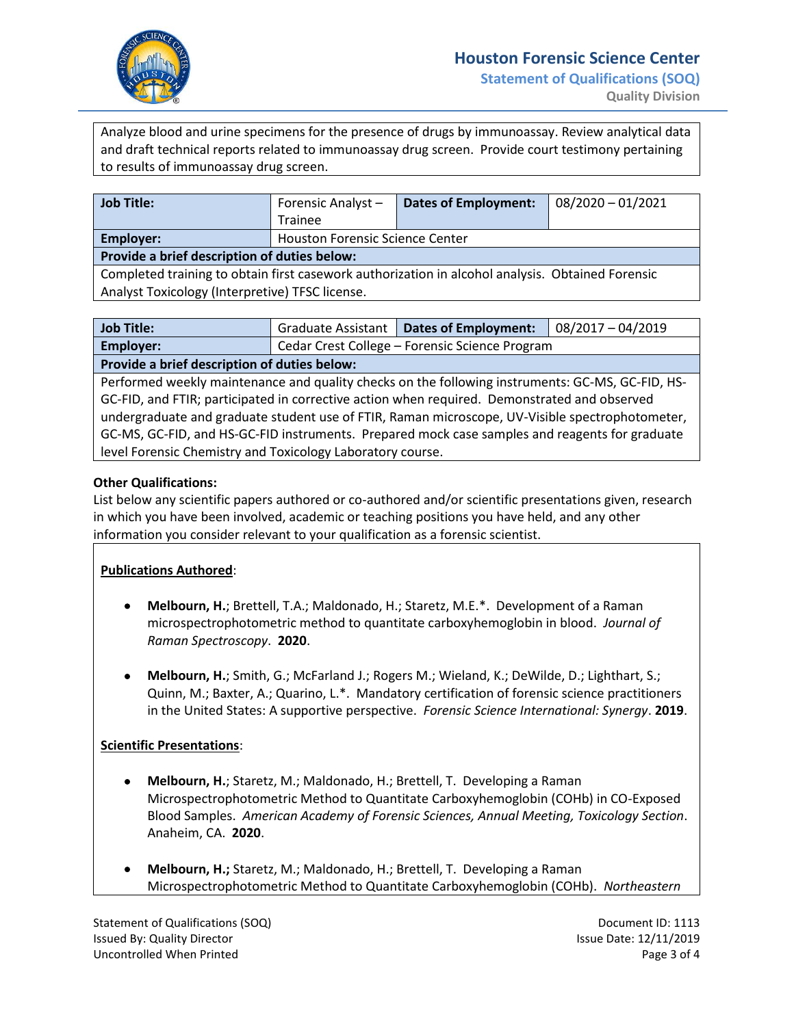

Analyze blood and urine specimens for the presence of drugs by immunoassay. Review analytical data and draft technical reports related to immunoassay drug screen. Provide court testimony pertaining to results of immunoassay drug screen.

| Job Title:                                                                                       | Forensic Analyst-                      | Dates of Employment: | $08/2020 - 01/2021$ |
|--------------------------------------------------------------------------------------------------|----------------------------------------|----------------------|---------------------|
|                                                                                                  | Trainee                                |                      |                     |
| Employer:                                                                                        | <b>Houston Forensic Science Center</b> |                      |                     |
| Provide a brief description of duties below:                                                     |                                        |                      |                     |
| Completed training to obtain first casework authorization in alcohol analysis. Obtained Forensic |                                        |                      |                     |

Analyst Toxicology (Interpretive) TFSC license.

| Job Title:                                   |                                                | Graduate Assistant   Dates of Employment: | $\mid 08/2017 - 04/2019 \mid$ |  |
|----------------------------------------------|------------------------------------------------|-------------------------------------------|-------------------------------|--|
| <b>Employer:</b>                             | Cedar Crest College – Forensic Science Program |                                           |                               |  |
| Provide a brief description of duties below: |                                                |                                           |                               |  |

Performed weekly maintenance and quality checks on the following instruments: GC-MS, GC-FID, HS-GC-FID, and FTIR; participated in corrective action when required. Demonstrated and observed undergraduate and graduate student use of FTIR, Raman microscope, UV-Visible spectrophotometer, GC-MS, GC-FID, and HS-GC-FID instruments. Prepared mock case samples and reagents for graduate level Forensic Chemistry and Toxicology Laboratory course.

## **Other Qualifications:**

List below any scientific papers authored or co-authored and/or scientific presentations given, research in which you have been involved, academic or teaching positions you have held, and any other information you consider relevant to your qualification as a forensic scientist.

## **Publications Authored**:

- **Melbourn, H.**; Brettell, T.A.; Maldonado, H.; Staretz, M.E.\*. Development of a Raman microspectrophotometric method to quantitate carboxyhemoglobin in blood. *Journal of Raman Spectroscopy*. **2020**.
- **Melbourn, H.**; Smith, G.; McFarland J.; Rogers M.; Wieland, K.; DeWilde, D.; Lighthart, S.; Quinn, M.; Baxter, A.; Quarino, L.\*. Mandatory certification of forensic science practitioners in the United States: A supportive perspective. *Forensic Science International: Synergy*. **2019**.

## **Scientific Presentations**:

- **Melbourn, H.**; Staretz, M.; Maldonado, H.; Brettell, T. Developing a Raman Microspectrophotometric Method to Quantitate Carboxyhemoglobin (COHb) in CO-Exposed Blood Samples. *American Academy of Forensic Sciences, Annual Meeting, Toxicology Section*. Anaheim, CA. **2020**.
- **Melbourn, H.;** Staretz, M.; Maldonado, H.; Brettell, T. Developing a Raman Microspectrophotometric Method to Quantitate Carboxyhemoglobin (COHb). *Northeastern*

Statement of Qualifications (SOQ) Statement ID: 1113 Issued By: Quality Director and Theorem 2012 12: Issue Date: 12/11/2019 Uncontrolled When Printed **Page 3 of 4** and 200 minutes and 200 minutes and 200 minutes and 200 minutes and 200 minutes and 200 minutes and 200 minutes and 200 minutes and 200 minutes and 200 minutes and 200 minutes and 20